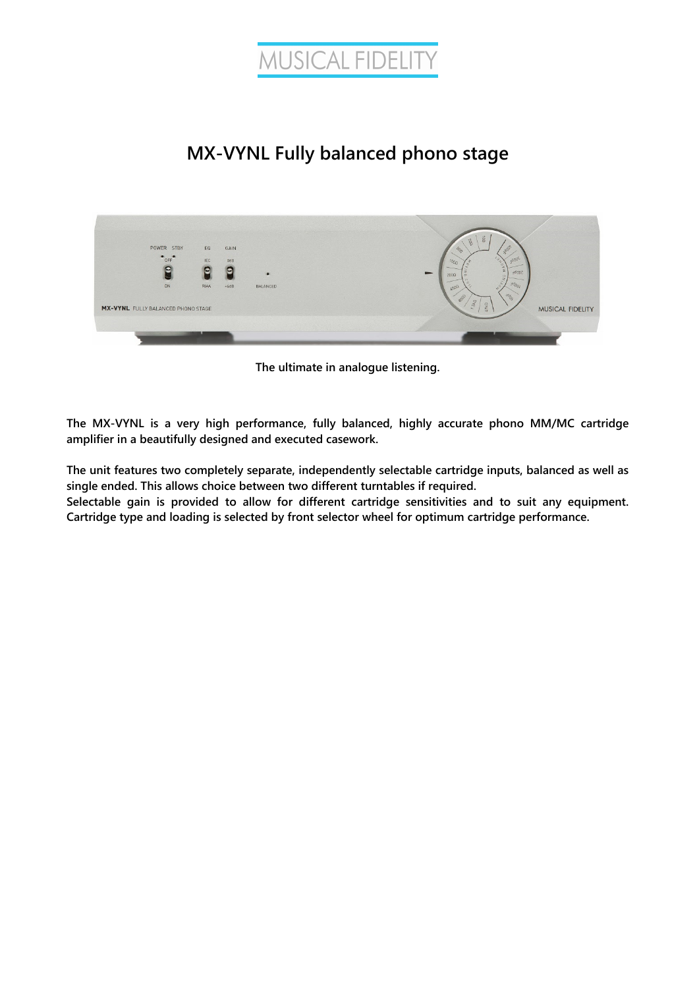



**The ultimate in analogue listening.** 

**The MX-VYNL is a very high performance, fully balanced, highly accurate phono MM/MC cartridge amplifier in a beautifully designed and executed casework.** 

**The unit features two completely separate, independently selectable cartridge inputs, balanced as well as single ended. This allows choice between two different turntables if required.** 

**Selectable gain is provided to allow for different cartridge sensitivities and to suit any equipment. Cartridge type and loading is selected by front selector wheel for optimum cartridge performance.**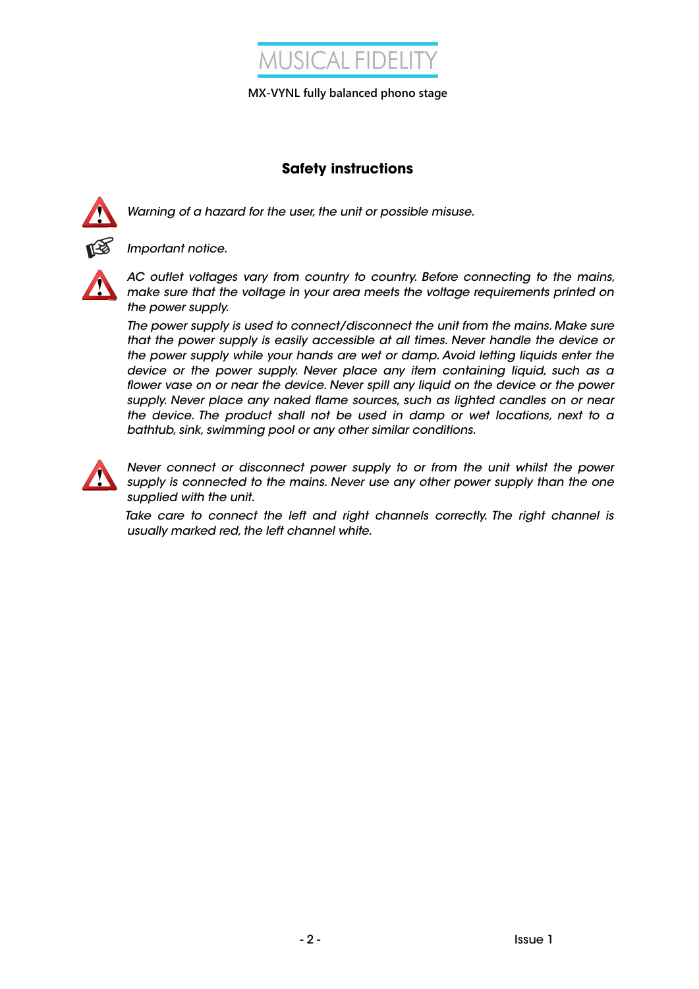

## **Safety instructions**



Warning of a hazard for the user, the unit or possible misuse.



Important notice.



AC outlet voltages vary from country to country. Before connecting to the mains, make sure that the voltage in your area meets the voltage requirements printed on the power supply.

The power supply is used to connect/disconnect the unit from the mains. Make sure that the power supply is easily accessible at all times. Never handle the device or the power supply while your hands are wet or damp. Avoid letting liquids enter the device or the power supply. Never place any item containing liquid, such as a flower vase on or near the device. Never spill any liquid on the device or the power supply. Never place any naked flame sources, such as lighted candles on or near the device. The product shall not be used in damp or wet locations, next to a bathtub, sink, swimming pool or any other similar conditions.



Never connect or disconnect power supply to or from the unit whilst the power supply is connected to the mains. Never use any other power supply than the one supplied with the unit.

Take care to connect the left and right channels correctly. The right channel is usually marked red, the left channel white.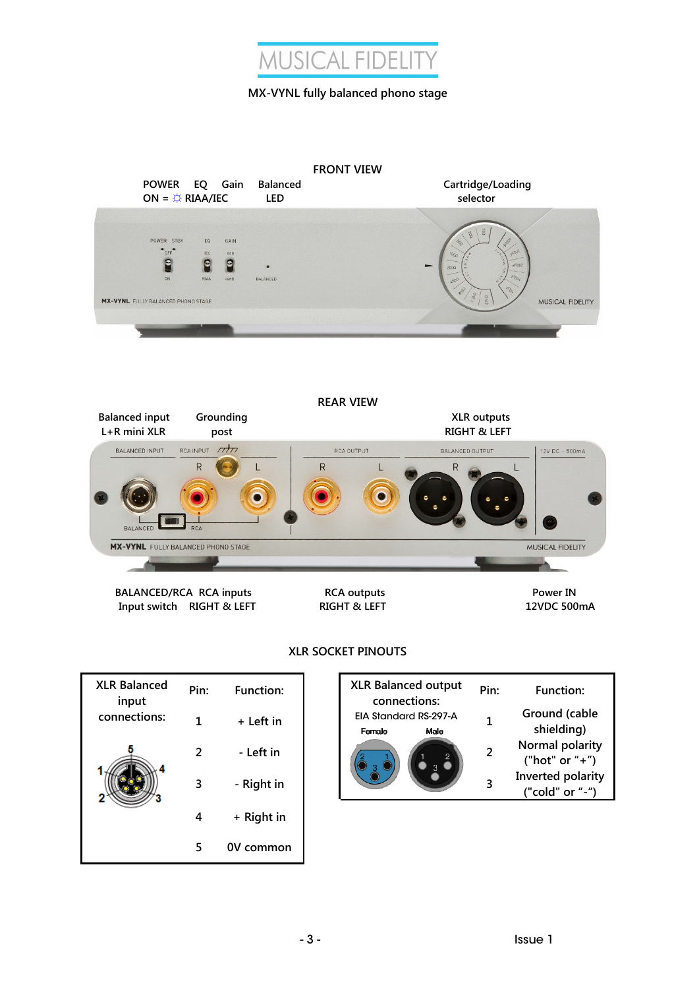

|                                                                                        | POWER EQ Gain<br>ON = $\overleftrightarrow{\sim}$ RIAA/IEC |                            | <b>Balanced</b><br><b>LED</b> | <b>FRONT VIEW</b> | Cartridge/Loading<br>selector                                         |                         |
|----------------------------------------------------------------------------------------|------------------------------------------------------------|----------------------------|-------------------------------|-------------------|-----------------------------------------------------------------------|-------------------------|
| POWER STBY<br>$^{\bullet}$ OFF<br>e<br>ON<br><b>MX-VYNL</b> FULLY BALANCED PHONO STAGE | EQ<br><b>IEC</b><br>e<br><b>RIAA</b>                       | GAIN<br>0dB<br>E<br>$+6dB$ | BALANCED                      |                   | agos<br>Jdggc<br>1000<br><b>SOOPE</b><br>$200\Omega$<br>40001<br>4000 | <b>MUSICAL FIDELITY</b> |
|                                                                                        |                                                            |                            |                               |                   |                                                                       |                         |
| <b>Balanced input</b>                                                                  | Grounding                                                  |                            |                               | <b>REAR VIEW</b>  | <b>XLR</b> outputs                                                    |                         |
| L+R mini XLR<br><b>BALANCED INPUT</b><br><b>BALANCED</b>                               | RCAINPUT 7777<br>R<br><b>RCA</b>                           | post                       |                               | RCA OUTPUT<br>R   | <b>RIGHT &amp; LEFT</b><br><b>BALANCED OUTPUT</b><br>$\mathsf R$      | 12V DC - 500mA          |
| <b>MX-VYNL</b> FULLY BALANCED PHONO STAGE                                              |                                                            |                            |                               |                   |                                                                       | <b>MUSICAL FIDELITY</b> |

## **XLR SOCKET PINOUTS**

| <b>XLR Balanced</b><br>input | Pin: | <b>Function:</b> |
|------------------------------|------|------------------|
| connections:                 | 1    | + Left in        |
|                              | 2    | - Left in        |
|                              | 3    | - Right in       |
|                              | 4    | + Right in       |
|                              | 5    | 0V common        |

| Pin: | <b>Function:</b> | <b>XLR Balanced output</b><br>connections: |                               | Pin:           | Function:                            |
|------|------------------|--------------------------------------------|-------------------------------|----------------|--------------------------------------|
|      | + Left in        | Female                                     | EIA Standard RS-297-A<br>Male |                | Ground (cable<br>shielding)          |
|      | - Left in        |                                            |                               | $\overline{2}$ | Normal polarity<br>("hot" or "+")    |
|      | - Right in       |                                            |                               | 3              | Inverted polarity<br>("cold" or "-") |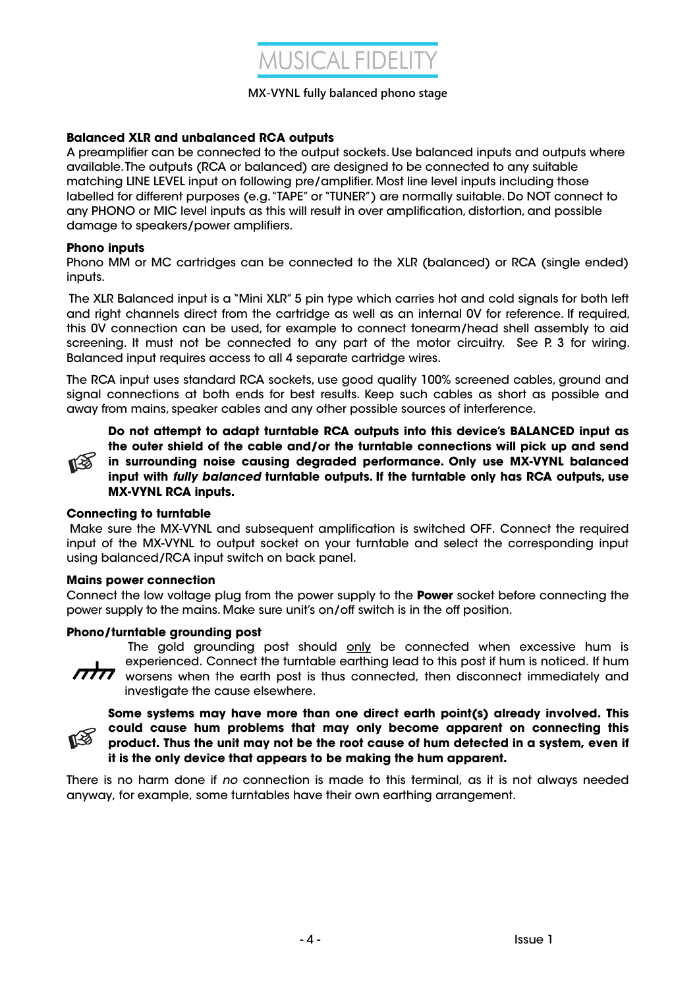

### **Balanced XLR and unbalanced RCA outputs**

A preamplifier can be connected to the output sockets. Use balanced inputs and outputs where available. The outputs (RCA or balanced) are designed to be connected to any suitable matching LINE LEVEL input on following pre/amplifier. Most line level inputs including those labelled for different purposes (e.g. "TAPE" or "TUNER") are normally suitable. Do NOT connect to any PHONO or MIC level inputs as this will result in over amplification, distortion, and possible damage to speakers/power amplifiers.

#### **Phono inputs**

Phono MM or MC cartridges can be connected to the XLR (balanced) or RCA (single ended) inputs.

 The XLR Balanced input is a "Mini XLR" 5 pin type which carries hot and cold signals for both left and right channels direct from the cartridge as well as an internal 0V for reference. If required, this 0V connection can be used, for example to connect tonearm/head shell assembly to aid screening. It must not be connected to any part of the motor circuitry. See P. 3 for wiring. Balanced input requires access to all 4 separate cartridge wires.

The RCA input uses standard RCA sockets, use good quality 100% screened cables, ground and signal connections at both ends for best results. Keep such cables as short as possible and away from mains, speaker cables and any other possible sources of interference.



**Do not attempt to adapt turntable RCA outputs into this device's BALANCED input as the outer shield of the cable and/or the turntable connections will pick up and send in surrounding noise causing degraded performance. Only use MX-VYNL balanced input with fully balanced turntable outputs. If the turntable only has RCA outputs, use MX-VYNL RCA inputs.** 

#### **Connecting to turntable**

 Make sure the MX-VYNL and subsequent amplification is switched OFF. Connect the required input of the MX-VYNL to output socket on your turntable and select the corresponding input using balanced/RCA input switch on back panel.

#### **Mains power connection**

Connect the low voltage plug from the power supply to the **Power** socket before connecting the power supply to the mains. Make sure unit's on/off switch is in the off position.

#### **Phono/turntable grounding post**

 $\pi\pi$ 

The gold grounding post should only be connected when excessive hum is experienced. Connect the turntable earthing lead to this post if hum is noticed. If hum worsens when the earth post is thus connected, then disconnect immediately and investigate the cause elsewhere.



**Some systems may have more than one direct earth point(s) already involved. This could cause hum problems that may only become apparent on connecting this product. Thus the unit may not be the root cause of hum detected in a system, even if it is the only device that appears to be making the hum apparent.** 

There is no harm done if no connection is made to this terminal, as it is not always needed anyway, for example, some turntables have their own earthing arrangement.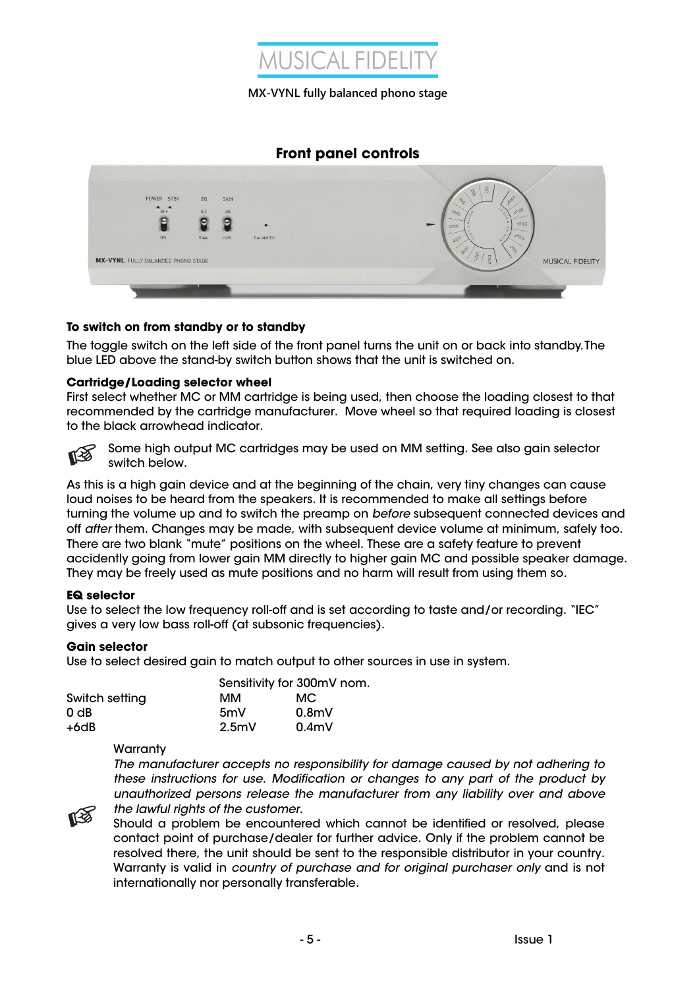

## **Front panel controls**



#### **To switch on from standby or to standby**

The toggle switch on the left side of the front panel turns the unit on or back into standby. The blue LED above the stand-by switch button shows that the unit is switched on.

#### **Cartridge/Loading selector wheel**

First select whether MC or MM cartridge is being used, then choose the loading closest to that recommended by the cartridge manufacturer. Move wheel so that required loading is closest to the black arrowhead indicator.



Some high output MC cartridges may be used on MM setting. See also gain selector switch below.

As this is a high gain device and at the beginning of the chain, very tiny changes can cause loud noises to be heard from the speakers. It is recommended to make all settings before turning the volume up and to switch the preamp on before subsequent connected devices and off after them. Changes may be made, with subsequent device volume at minimum, safely too. There are two blank "mute" positions on the wheel. These are a safety feature to prevent accidently going from lower gain MM directly to higher gain MC and possible speaker damage. They may be freely used as mute positions and no harm will result from using them so.

#### **EQ selector**

Use to select the low frequency roll-off and is set according to taste and/or recording. "IEC" gives a very low bass roll-off (at subsonic frequencies).

#### **Gain selector**

Use to select desired gain to match output to other sources in use in system.

|                 |                  | Sensitivity for 300mV nom. |  |
|-----------------|------------------|----------------------------|--|
| Switch setting  | мм               | МC                         |  |
| 0 <sub>dB</sub> | 5mV              | 0.8 <sub>m</sub>           |  |
| +6dB            | 2.5 <sub>m</sub> | 0.4 <sub>m</sub>           |  |

**Warranty** 

The manufacturer accepts no responsibility for damage caused by not adhering to these instructions for use. Modification or changes to any part of the product by unauthorized persons release the manufacturer from any liability over and above the lawful rights of the customer.



Should a problem be encountered which cannot be identified or resolved, please contact point of purchase/dealer for further advice. Only if the problem cannot be resolved there, the unit should be sent to the responsible distributor in your country. Warranty is valid in country of purchase and for original purchaser only and is not internationally nor personally transferable.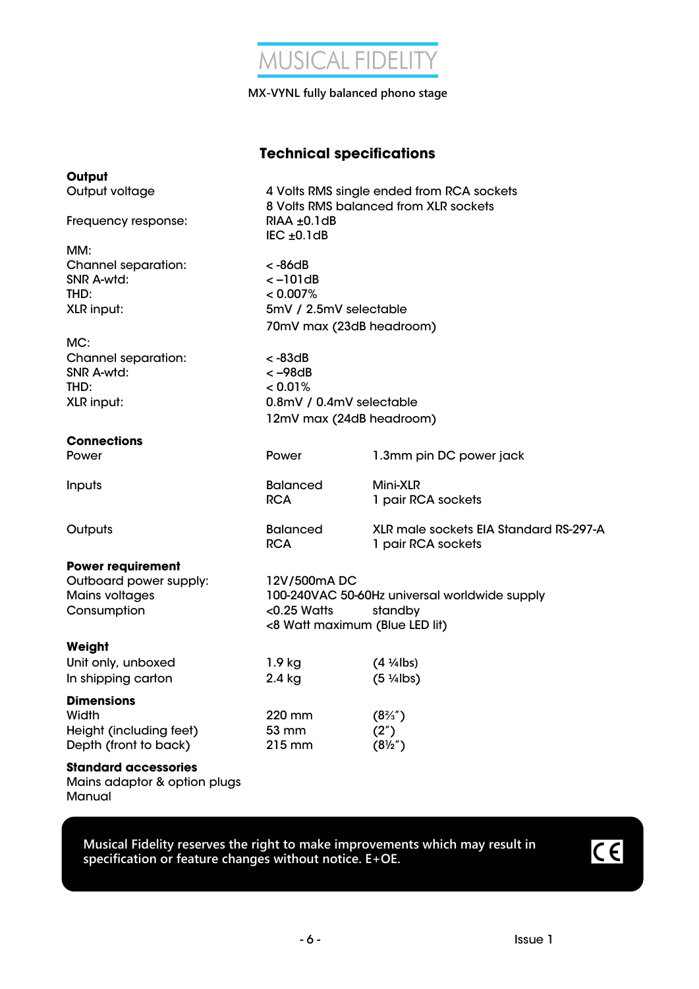

## **Technical specifications**

| Output                                                                         |                                                                                                                             |                                                              |  |
|--------------------------------------------------------------------------------|-----------------------------------------------------------------------------------------------------------------------------|--------------------------------------------------------------|--|
| Output voltage                                                                 | 4 Volts RMS single ended from RCA sockets<br>8 Volts RMS balanced from XLR sockets                                          |                                                              |  |
| Frequency response:                                                            | $RIAA \pm 0.1dB$<br>$IEC \pm 0.1dB$                                                                                         |                                                              |  |
| MM:                                                                            |                                                                                                                             |                                                              |  |
| Channel separation:<br>SNR A-wtd:<br>THD:<br>XLR input:                        | < -86dB<br>$<-101dB$<br>< 0.007%<br>5mV / 2.5mV selectable<br>70mV max (23dB headroom)                                      |                                                              |  |
| MC:                                                                            |                                                                                                                             |                                                              |  |
| Channel separation:<br>SNR A-wtd:<br>THD:<br>XLR input:                        | $< -83dB$<br>$<-98dB$<br>< 0.01%<br>0.8mV / 0.4mV selectable<br>12mV max (24dB headroom)                                    |                                                              |  |
| <b>Connections</b>                                                             |                                                                                                                             |                                                              |  |
| Power                                                                          | Power                                                                                                                       | 1.3mm pin DC power jack                                      |  |
| Inputs                                                                         | <b>Balanced</b><br><b>RCA</b>                                                                                               | Mini-XLR<br>1 pair RCA sockets                               |  |
| Outputs                                                                        | <b>Balanced</b><br><b>RCA</b>                                                                                               | XLR male sockets EIA Standard RS-297-A<br>1 pair RCA sockets |  |
| <b>Power requirement</b>                                                       |                                                                                                                             |                                                              |  |
| Outboard power supply:<br><b>Mains voltages</b><br>Consumption                 | 12V/500mADC<br>100-240VAC 50-60Hz universal worldwide supply<br>$<$ 0.25 Watts<br>standby<br><8 Watt maximum (Blue LED lit) |                                                              |  |
| Weight                                                                         |                                                                                                                             |                                                              |  |
| Unit only, unboxed<br>In shipping carton                                       | $1.9$ kg<br>2.4 kg                                                                                                          | $(4 \frac{1}{4}$ lbs)<br>$(5 \frac{1}{4}$ lbs)               |  |
| <b>Dimensions</b><br>Width<br>Height (including feet)<br>Depth (front to back) | 220 mm<br>53 mm<br>215 mm                                                                                                   | $(8\frac{2}{3})$<br>(2")<br>$(8\frac{1}{2})$                 |  |
| <b>Standard accessories</b><br>Mains adaptor & option plugs<br>Manual          |                                                                                                                             |                                                              |  |

**Musical Fidelity reserves the right to make improvements which may result in specification or feature changes without notice. E+OE.**